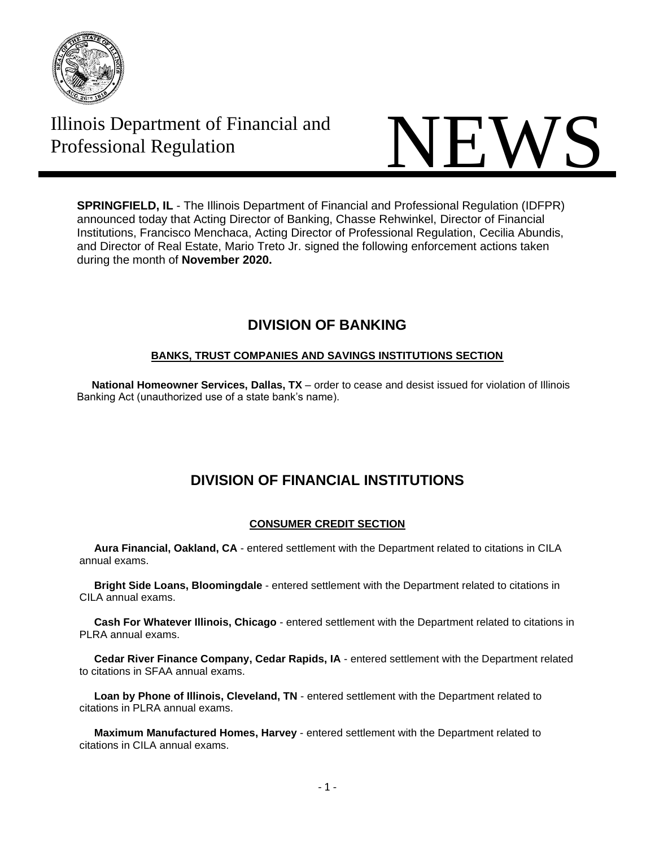

# Illinois Department of Financial and



**SPRINGFIELD, IL** - The Illinois Department of Financial and Professional Regulation (IDFPR) announced today that Acting Director of Banking, Chasse Rehwinkel, Director of Financial Institutions, Francisco Menchaca, Acting Director of Professional Regulation, Cecilia Abundis, and Director of Real Estate, Mario Treto Jr. signed the following enforcement actions taken during the month of **November 2020.**

# **DIVISION OF BANKING**

## **BANKS, TRUST COMPANIES AND SAVINGS INSTITUTIONS SECTION**

 **National Homeowner Services, Dallas, TX** – order to cease and desist issued for violation of Illinois Banking Act (unauthorized use of a state bank's name).

# **DIVISION OF FINANCIAL INSTITUTIONS**

## **CONSUMER CREDIT SECTION**

 **Aura Financial, Oakland, CA** - entered settlement with the Department related to citations in CILA annual exams.

 **Bright Side Loans, Bloomingdale** - entered settlement with the Department related to citations in CILA annual exams.

 **Cash For Whatever Illinois, Chicago** - entered settlement with the Department related to citations in PLRA annual exams.

 **Cedar River Finance Company, Cedar Rapids, IA** - entered settlement with the Department related to citations in SFAA annual exams.

 **Loan by Phone of Illinois, Cleveland, TN** - entered settlement with the Department related to citations in PLRA annual exams.

 **Maximum Manufactured Homes, Harvey** - entered settlement with the Department related to citations in CILA annual exams.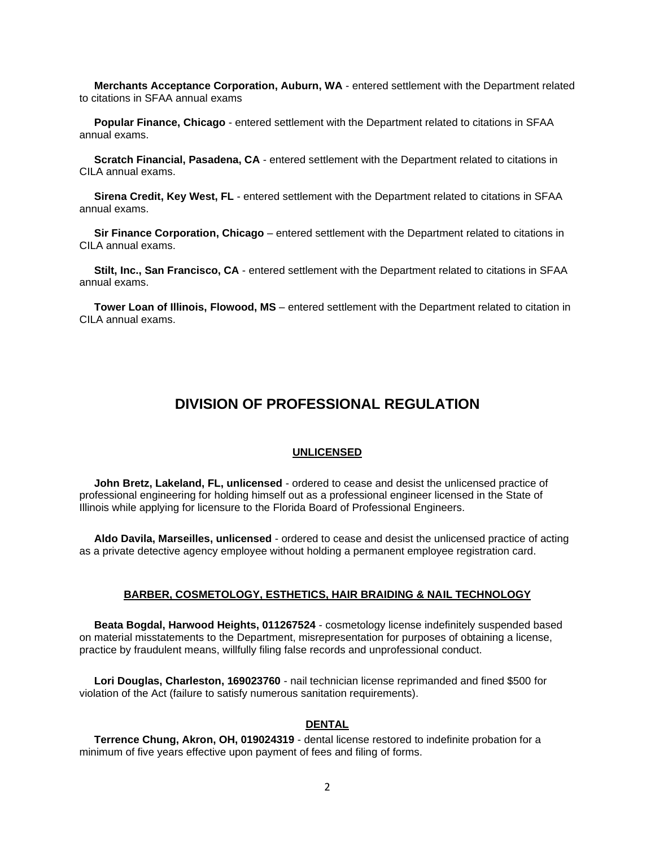**Merchants Acceptance Corporation, Auburn, WA** - entered settlement with the Department related to citations in SFAA annual exams

 **Popular Finance, Chicago** - entered settlement with the Department related to citations in SFAA annual exams.

 **Scratch Financial, Pasadena, CA** - entered settlement with the Department related to citations in CILA annual exams.

 **Sirena Credit, Key West, FL** - entered settlement with the Department related to citations in SFAA annual exams.

 **Sir Finance Corporation, Chicago** – entered settlement with the Department related to citations in CILA annual exams.

 **Stilt, Inc., San Francisco, CA** - entered settlement with the Department related to citations in SFAA annual exams.

 **Tower Loan of Illinois, Flowood, MS** – entered settlement with the Department related to citation in CILA annual exams.

# **DIVISION OF PROFESSIONAL REGULATION**

#### **UNLICENSED**

 **John Bretz, Lakeland, FL, unlicensed** - ordered to cease and desist the unlicensed practice of professional engineering for holding himself out as a professional engineer licensed in the State of Illinois while applying for licensure to the Florida Board of Professional Engineers.

 **Aldo Davila, Marseilles, unlicensed** - ordered to cease and desist the unlicensed practice of acting as a private detective agency employee without holding a permanent employee registration card.

#### **BARBER, COSMETOLOGY, ESTHETICS, HAIR BRAIDING & NAIL TECHNOLOGY**

 **Beata Bogdal, Harwood Heights, 011267524** - cosmetology license indefinitely suspended based on material misstatements to the Department, misrepresentation for purposes of obtaining a license, practice by fraudulent means, willfully filing false records and unprofessional conduct.

 **Lori Douglas, Charleston, 169023760** - nail technician license reprimanded and fined \$500 for violation of the Act (failure to satisfy numerous sanitation requirements).

#### **DENTAL**

 **Terrence Chung, Akron, OH, 019024319** - dental license restored to indefinite probation for a minimum of five years effective upon payment of fees and filing of forms.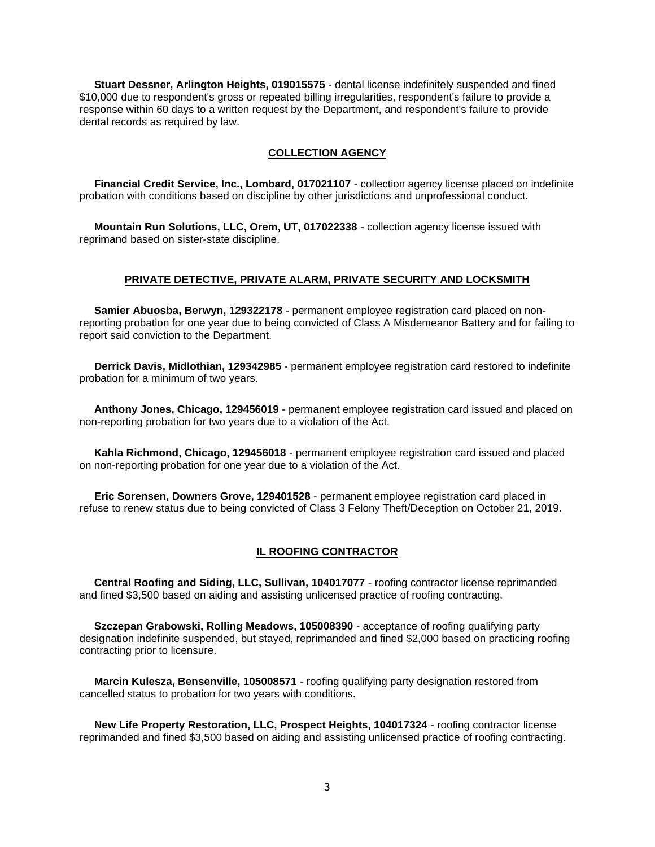**Stuart Dessner, Arlington Heights, 019015575** - dental license indefinitely suspended and fined \$10,000 due to respondent's gross or repeated billing irregularities, respondent's failure to provide a response within 60 days to a written request by the Department, and respondent's failure to provide dental records as required by law.

#### **COLLECTION AGENCY**

 **Financial Credit Service, Inc., Lombard, 017021107** - collection agency license placed on indefinite probation with conditions based on discipline by other jurisdictions and unprofessional conduct.

 **Mountain Run Solutions, LLC, Orem, UT, 017022338** - collection agency license issued with reprimand based on sister-state discipline.

#### **PRIVATE DETECTIVE, PRIVATE ALARM, PRIVATE SECURITY AND LOCKSMITH**

 **Samier Abuosba, Berwyn, 129322178** - permanent employee registration card placed on nonreporting probation for one year due to being convicted of Class A Misdemeanor Battery and for failing to report said conviction to the Department.

 **Derrick Davis, Midlothian, 129342985** - permanent employee registration card restored to indefinite probation for a minimum of two years.

 **Anthony Jones, Chicago, 129456019** - permanent employee registration card issued and placed on non-reporting probation for two years due to a violation of the Act.

 **Kahla Richmond, Chicago, 129456018** - permanent employee registration card issued and placed on non-reporting probation for one year due to a violation of the Act.

 **Eric Sorensen, Downers Grove, 129401528** - permanent employee registration card placed in refuse to renew status due to being convicted of Class 3 Felony Theft/Deception on October 21, 2019.

#### **IL ROOFING CONTRACTOR**

 **Central Roofing and Siding, LLC, Sullivan, 104017077** - roofing contractor license reprimanded and fined \$3,500 based on aiding and assisting unlicensed practice of roofing contracting.

 **Szczepan Grabowski, Rolling Meadows, 105008390** - acceptance of roofing qualifying party designation indefinite suspended, but stayed, reprimanded and fined \$2,000 based on practicing roofing contracting prior to licensure.

 **Marcin Kulesza, Bensenville, 105008571** - roofing qualifying party designation restored from cancelled status to probation for two years with conditions.

 **New Life Property Restoration, LLC, Prospect Heights, 104017324** - roofing contractor license reprimanded and fined \$3,500 based on aiding and assisting unlicensed practice of roofing contracting.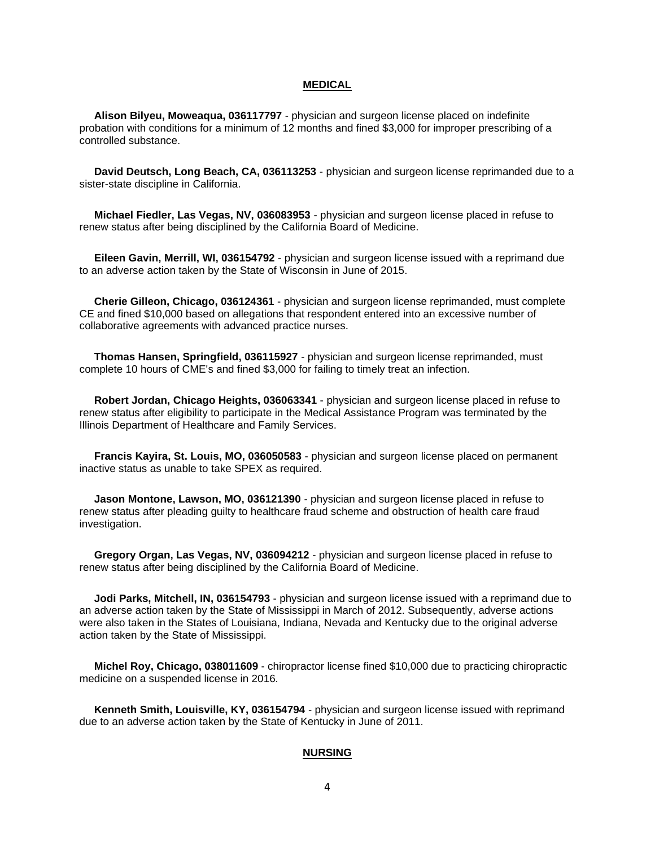#### **MEDICAL**

 **Alison Bilyeu, Moweaqua, 036117797** - physician and surgeon license placed on indefinite probation with conditions for a minimum of 12 months and fined \$3,000 for improper prescribing of a controlled substance.

 **David Deutsch, Long Beach, CA, 036113253** - physician and surgeon license reprimanded due to a sister-state discipline in California.

 **Michael Fiedler, Las Vegas, NV, 036083953** - physician and surgeon license placed in refuse to renew status after being disciplined by the California Board of Medicine.

 **Eileen Gavin, Merrill, WI, 036154792** - physician and surgeon license issued with a reprimand due to an adverse action taken by the State of Wisconsin in June of 2015.

 **Cherie Gilleon, Chicago, 036124361** - physician and surgeon license reprimanded, must complete CE and fined \$10,000 based on allegations that respondent entered into an excessive number of collaborative agreements with advanced practice nurses.

 **Thomas Hansen, Springfield, 036115927** - physician and surgeon license reprimanded, must complete 10 hours of CME's and fined \$3,000 for failing to timely treat an infection.

 **Robert Jordan, Chicago Heights, 036063341** - physician and surgeon license placed in refuse to renew status after eligibility to participate in the Medical Assistance Program was terminated by the Illinois Department of Healthcare and Family Services.

 **Francis Kayira, St. Louis, MO, 036050583** - physician and surgeon license placed on permanent inactive status as unable to take SPEX as required.

 **Jason Montone, Lawson, MO, 036121390** - physician and surgeon license placed in refuse to renew status after pleading guilty to healthcare fraud scheme and obstruction of health care fraud investigation.

 **Gregory Organ, Las Vegas, NV, 036094212** - physician and surgeon license placed in refuse to renew status after being disciplined by the California Board of Medicine.

 **Jodi Parks, Mitchell, IN, 036154793** - physician and surgeon license issued with a reprimand due to an adverse action taken by the State of Mississippi in March of 2012. Subsequently, adverse actions were also taken in the States of Louisiana, Indiana, Nevada and Kentucky due to the original adverse action taken by the State of Mississippi.

 **Michel Roy, Chicago, 038011609** - chiropractor license fined \$10,000 due to practicing chiropractic medicine on a suspended license in 2016.

 **Kenneth Smith, Louisville, KY, 036154794** - physician and surgeon license issued with reprimand due to an adverse action taken by the State of Kentucky in June of 2011.

#### **NURSING**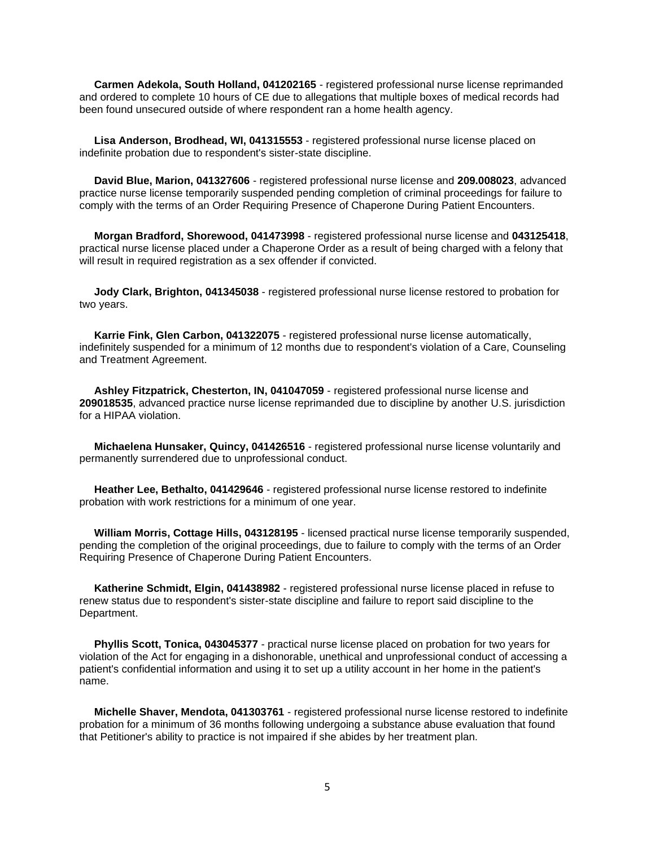**Carmen Adekola, South Holland, 041202165** - registered professional nurse license reprimanded and ordered to complete 10 hours of CE due to allegations that multiple boxes of medical records had been found unsecured outside of where respondent ran a home health agency.

 **Lisa Anderson, Brodhead, WI, 041315553** - registered professional nurse license placed on indefinite probation due to respondent's sister-state discipline.

 **David Blue, Marion, 041327606** - registered professional nurse license and **209.008023**, advanced practice nurse license temporarily suspended pending completion of criminal proceedings for failure to comply with the terms of an Order Requiring Presence of Chaperone During Patient Encounters.

 **Morgan Bradford, Shorewood, 041473998** - registered professional nurse license and **043125418**, practical nurse license placed under a Chaperone Order as a result of being charged with a felony that will result in required registration as a sex offender if convicted.

 **Jody Clark, Brighton, 041345038** - registered professional nurse license restored to probation for two years.

 **Karrie Fink, Glen Carbon, 041322075** - registered professional nurse license automatically, indefinitely suspended for a minimum of 12 months due to respondent's violation of a Care, Counseling and Treatment Agreement.

 **Ashley Fitzpatrick, Chesterton, IN, 041047059** - registered professional nurse license and **209018535**, advanced practice nurse license reprimanded due to discipline by another U.S. jurisdiction for a HIPAA violation.

 **Michaelena Hunsaker, Quincy, 041426516** - registered professional nurse license voluntarily and permanently surrendered due to unprofessional conduct.

 **Heather Lee, Bethalto, 041429646** - registered professional nurse license restored to indefinite probation with work restrictions for a minimum of one year.

 **William Morris, Cottage Hills, 043128195** - licensed practical nurse license temporarily suspended, pending the completion of the original proceedings, due to failure to comply with the terms of an Order Requiring Presence of Chaperone During Patient Encounters.

 **Katherine Schmidt, Elgin, 041438982** - registered professional nurse license placed in refuse to renew status due to respondent's sister-state discipline and failure to report said discipline to the Department.

 **Phyllis Scott, Tonica, 043045377** - practical nurse license placed on probation for two years for violation of the Act for engaging in a dishonorable, unethical and unprofessional conduct of accessing a patient's confidential information and using it to set up a utility account in her home in the patient's name.

 **Michelle Shaver, Mendota, 041303761** - registered professional nurse license restored to indefinite probation for a minimum of 36 months following undergoing a substance abuse evaluation that found that Petitioner's ability to practice is not impaired if she abides by her treatment plan.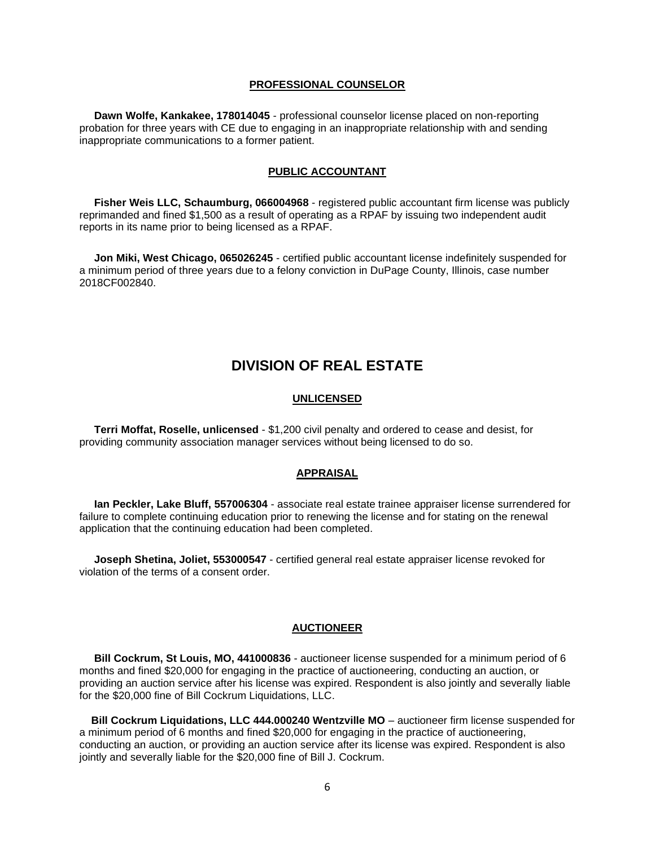#### **PROFESSIONAL COUNSELOR**

 **Dawn Wolfe, Kankakee, 178014045** - professional counselor license placed on non-reporting probation for three years with CE due to engaging in an inappropriate relationship with and sending inappropriate communications to a former patient.

#### **PUBLIC ACCOUNTANT**

 **Fisher Weis LLC, Schaumburg, 066004968** - registered public accountant firm license was publicly reprimanded and fined \$1,500 as a result of operating as a RPAF by issuing two independent audit reports in its name prior to being licensed as a RPAF.

 **Jon Miki, West Chicago, 065026245** - certified public accountant license indefinitely suspended for a minimum period of three years due to a felony conviction in DuPage County, Illinois, case number 2018CF002840.

### **DIVISION OF REAL ESTATE**

#### **UNLICENSED**

 **Terri Moffat, Roselle, unlicensed** - \$1,200 civil penalty and ordered to cease and desist, for providing community association manager services without being licensed to do so.

#### **APPRAISAL**

 **Ian Peckler, Lake Bluff, 557006304** - associate real estate trainee appraiser license surrendered for failure to complete continuing education prior to renewing the license and for stating on the renewal application that the continuing education had been completed.

 **Joseph Shetina, Joliet, 553000547** - certified general real estate appraiser license revoked for violation of the terms of a consent order.

#### **AUCTIONEER**

 **Bill Cockrum, St Louis, MO, 441000836** - auctioneer license suspended for a minimum period of 6 months and fined \$20,000 for engaging in the practice of auctioneering, conducting an auction, or providing an auction service after his license was expired. Respondent is also jointly and severally liable for the \$20,000 fine of Bill Cockrum Liquidations, LLC.

**Bill Cockrum Liquidations, LLC 444.000240 Wentzville MO** – auctioneer firm license suspended for a minimum period of 6 months and fined \$20,000 for engaging in the practice of auctioneering, conducting an auction, or providing an auction service after its license was expired. Respondent is also jointly and severally liable for the \$20,000 fine of Bill J. Cockrum.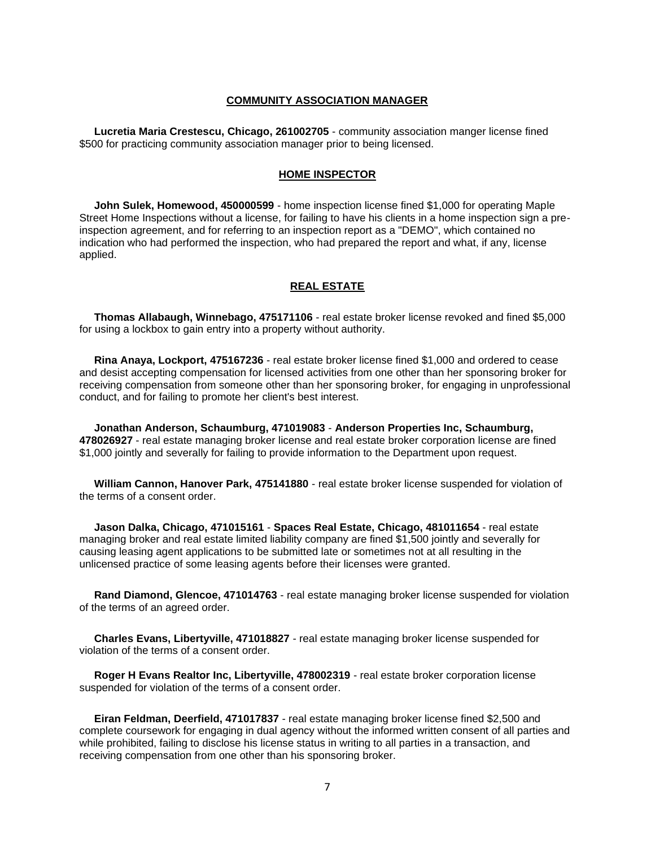#### **COMMUNITY ASSOCIATION MANAGER**

 **Lucretia Maria Crestescu, Chicago, 261002705** - community association manger license fined \$500 for practicing community association manager prior to being licensed.

#### **HOME INSPECTOR**

 **John Sulek, Homewood, 450000599** - home inspection license fined \$1,000 for operating Maple Street Home Inspections without a license, for failing to have his clients in a home inspection sign a preinspection agreement, and for referring to an inspection report as a "DEMO", which contained no indication who had performed the inspection, who had prepared the report and what, if any, license applied.

#### **REAL ESTATE**

 **Thomas Allabaugh, Winnebago, 475171106** - real estate broker license revoked and fined \$5,000 for using a lockbox to gain entry into a property without authority.

 **Rina Anaya, Lockport, 475167236** - real estate broker license fined \$1,000 and ordered to cease and desist accepting compensation for licensed activities from one other than her sponsoring broker for receiving compensation from someone other than her sponsoring broker, for engaging in unprofessional conduct, and for failing to promote her client's best interest.

 **Jonathan Anderson, Schaumburg, 471019083** - **Anderson Properties Inc, Schaumburg, 478026927** - real estate managing broker license and real estate broker corporation license are fined \$1,000 jointly and severally for failing to provide information to the Department upon request.

 **William Cannon, Hanover Park, 475141880** - real estate broker license suspended for violation of the terms of a consent order.

 **Jason Dalka, Chicago, 471015161** - **Spaces Real Estate, Chicago, 481011654** - real estate managing broker and real estate limited liability company are fined \$1,500 jointly and severally for causing leasing agent applications to be submitted late or sometimes not at all resulting in the unlicensed practice of some leasing agents before their licenses were granted.

 **Rand Diamond, Glencoe, 471014763** - real estate managing broker license suspended for violation of the terms of an agreed order.

 **Charles Evans, Libertyville, 471018827** - real estate managing broker license suspended for violation of the terms of a consent order.

 **Roger H Evans Realtor Inc, Libertyville, 478002319** - real estate broker corporation license suspended for violation of the terms of a consent order.

 **Eiran Feldman, Deerfield, 471017837** - real estate managing broker license fined \$2,500 and complete coursework for engaging in dual agency without the informed written consent of all parties and while prohibited, failing to disclose his license status in writing to all parties in a transaction, and receiving compensation from one other than his sponsoring broker.